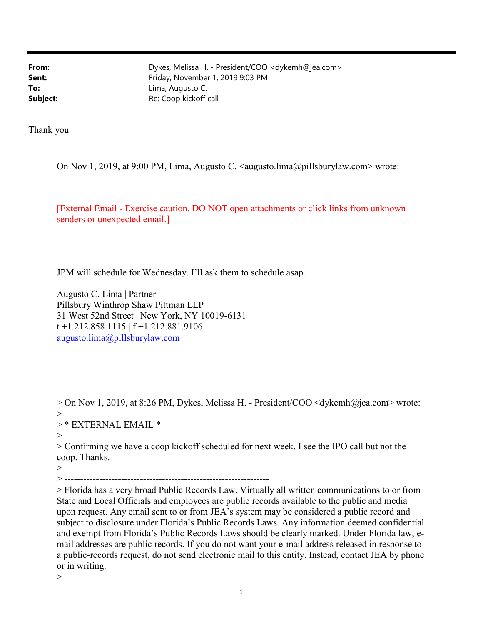From: Dykes, Melissa H. - President/COO <dykemh@jea.com> Sent: Friday, November 1, 2019 9:03 PM To: Lima, Augusto C. Subject: Re: Coop kickoff call

Thank you

On Nov 1, 2019, at 9:00 PM, Lima, Augusto C. <augusto.lima@pillsburylaw.com> wrote:

[External Email - Exercise caution. DO NOT open attachments or click links from unknown senders or unexpected email.]

JPM will schedule for Wednesday. I'll ask them to schedule asap.

Augusto C. Lima | Partner Pillsbury Winthrop Shaw Pittman LLP 31 West 52nd Street | New York, NY 10019-6131 t +1.212.858.1115 | f +1.212.881.9106 augusto.lima@pillsburylaw.com

> On Nov 1, 2019, at 8:26 PM, Dykes, Melissa H. - President/COO <dykemh@jea.com> wrote:  $>$ 

> \* EXTERNAL EMAIL \*  $>$ 

> Confirming we have a coop kickoff scheduled for next week. I see the IPO call but not the coop. Thanks.

 $>$ > -----------------------------------------------------------------

> Florida has a very broad Public Records Law. Virtually all written communications to or from State and Local Officials and employees are public records available to the public and media upon request. Any email sent to or from JEA's system may be considered a public record and subject to disclosure under Florida's Public Records Laws. Any information deemed confidential and exempt from Florida's Public Records Laws should be clearly marked. Under Florida law, email addresses are public records. If you do not want your e-mail address released in response to a public-records request, do not send electronic mail to this entity. Instead, contact JEA by phone or in writing.

 $>$